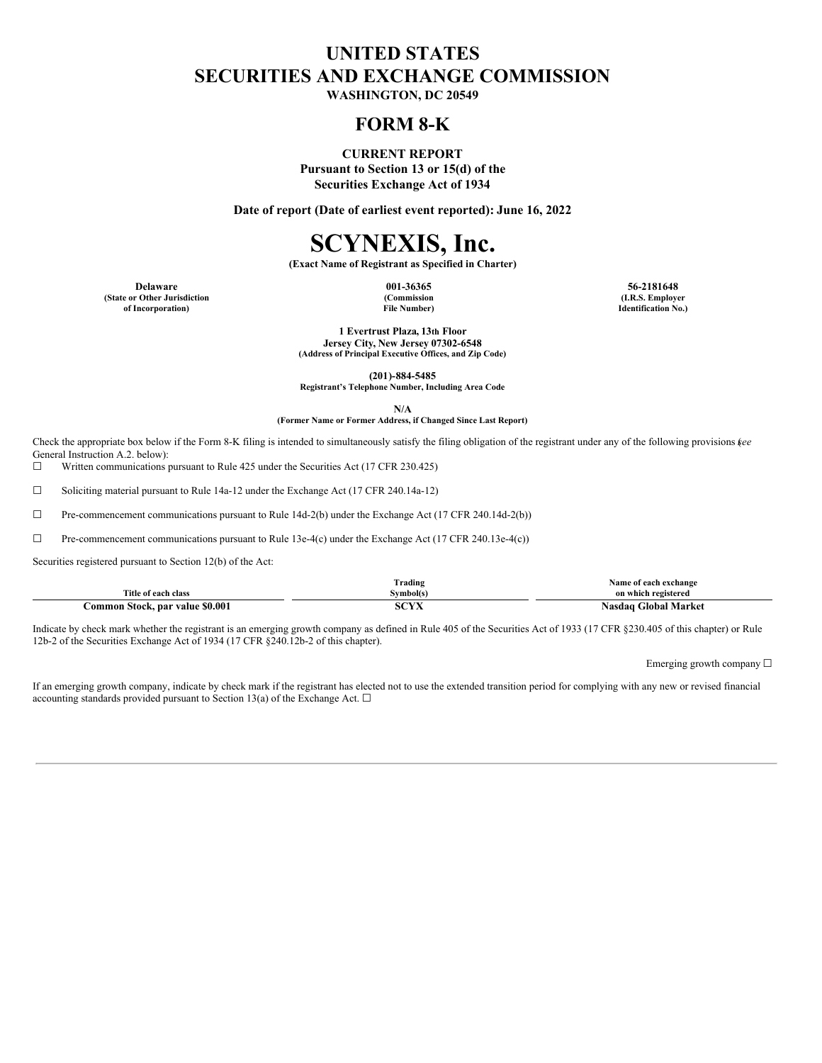## **UNITED STATES SECURITIES AND EXCHANGE COMMISSION**

**WASHINGTON, DC 20549**

### **FORM 8-K**

**CURRENT REPORT Pursuant to Section 13 or 15(d) of the**

**Securities Exchange Act of 1934**

**Date of report (Date of earliest event reported): June 16, 2022**

# **SCYNEXIS, Inc.**

**(Exact Name of Registrant as Specified in Charter)**

**Delaware 001-36365 56-2181648 (State or Other Jurisdiction of Incorporation)**

**(Commission File Number)**

**(I.R.S. Employer Identification No.)**

**1 Evertrust Plaza, 13th Floor Jersey City, New Jersey 07302-6548 (Address of Principal Executive Offices, and Zip Code)**

**(201)-884-5485**

**Registrant's Telephone Number, Including Area Code**

**N/A**

#### **(Former Name or Former Address, if Changed Since Last Report)**

Check the appropriate box below if the Form 8-K filing is intended to simultaneously satisfy the filing obligation of the registrant under any of the following provisions (*see* General Instruction A.2. below):

☐ Written communications pursuant to Rule 425 under the Securities Act (17 CFR 230.425)

☐ Soliciting material pursuant to Rule 14a-12 under the Exchange Act (17 CFR 240.14a-12)

☐ Pre-commencement communications pursuant to Rule 14d-2(b) under the Exchange Act (17 CFR 240.14d-2(b))

☐ Pre-commencement communications pursuant to Rule 13e-4(c) under the Exchange Act (17 CFR 240.13e-4(c))

Securities registered pursuant to Section 12(b) of the Act:

|                                 | $\sim$<br>rading] | Name of each exchange          |
|---------------------------------|-------------------|--------------------------------|
| Title of each class             | Symbol(s`         | on which registered            |
| Common Stock, par value \$0.001 | $\sim$<br>эuл     | <b>Global Market</b><br>Nasdaq |

Indicate by check mark whether the registrant is an emerging growth company as defined in Rule 405 of the Securities Act of 1933 (17 CFR §230.405 of this chapter) or Rule 12b-2 of the Securities Exchange Act of 1934 (17 CFR §240.12b-2 of this chapter).

Emerging growth company ☐

If an emerging growth company, indicate by check mark if the registrant has elected not to use the extended transition period for complying with any new or revised financial accounting standards provided pursuant to Section 13(a) of the Exchange Act.  $\Box$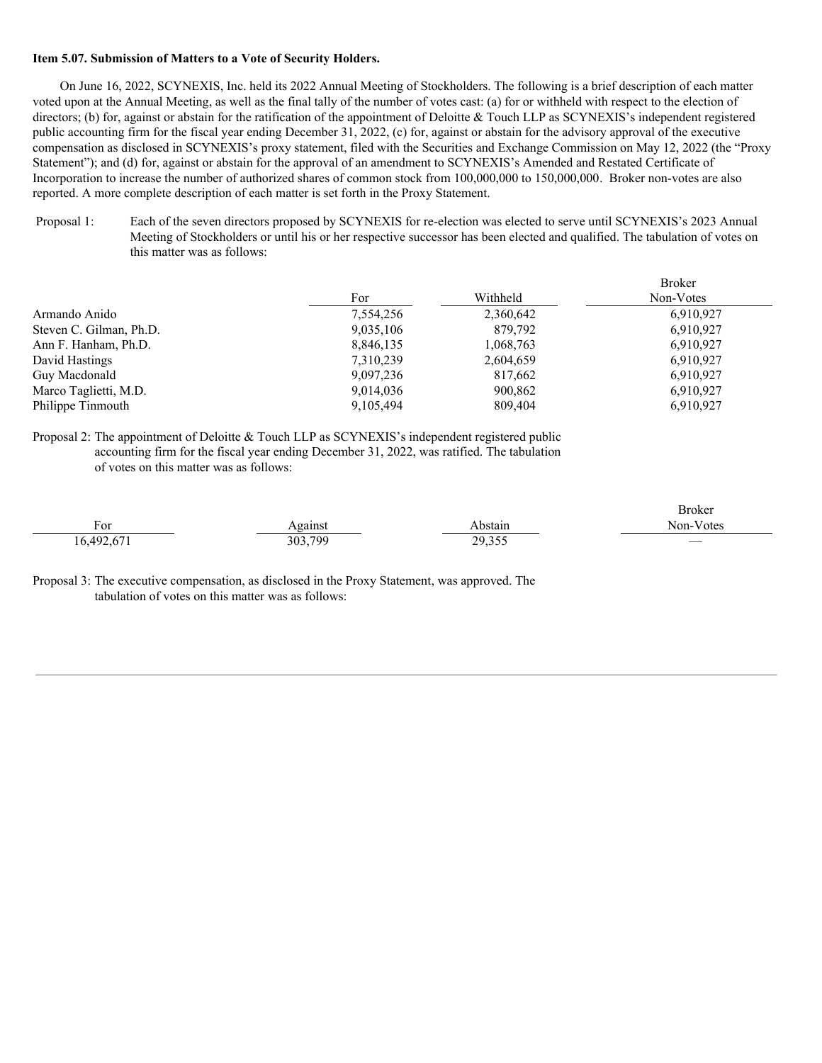#### **Item 5.07. Submission of Matters to a Vote of Security Holders.**

On June 16, 2022, SCYNEXIS, Inc. held its 2022 Annual Meeting of Stockholders. The following is a brief description of each matter voted upon at the Annual Meeting, as well as the final tally of the number of votes cast: (a) for or withheld with respect to the election of directors; (b) for, against or abstain for the ratification of the appointment of Deloitte & Touch LLP as SCYNEXIS's independent registered public accounting firm for the fiscal year ending December 31, 2022, (c) for, against or abstain for the advisory approval of the executive compensation as disclosed in SCYNEXIS's proxy statement, filed with the Securities and Exchange Commission on May 12, 2022 (the "Proxy Statement"); and (d) for, against or abstain for the approval of an amendment to SCYNEXIS's Amended and Restated Certificate of Incorporation to increase the number of authorized shares of common stock from 100,000,000 to 150,000,000. Broker non-votes are also reported. A more complete description of each matter is set forth in the Proxy Statement.

Proposal 1: Each of the seven directors proposed by SCYNEXIS for re-election was elected to serve until SCYNEXIS's 2023 Annual Meeting of Stockholders or until his or her respective successor has been elected and qualified. The tabulation of votes on this matter was as follows:

|                         |           |           | <b>Broker</b> |
|-------------------------|-----------|-----------|---------------|
|                         | For       | Withheld  | Non-Votes     |
| Armando Anido           | 7,554,256 | 2,360,642 | 6,910,927     |
| Steven C. Gilman, Ph.D. | 9,035,106 | 879,792   | 6,910,927     |
| Ann F. Hanham, Ph.D.    | 8,846,135 | 1,068,763 | 6,910,927     |
| David Hastings          | 7,310,239 | 2,604,659 | 6.910.927     |
| Guy Macdonald           | 9,097,236 | 817,662   | 6,910,927     |
| Marco Taglietti, M.D.   | 9,014,036 | 900,862   | 6,910,927     |
| Philippe Tinmouth       | 9,105,494 | 809,404   | 6,910,927     |

Proposal 2: The appointment of Deloitte & Touch LLP as SCYNEXIS's independent registered public accounting firm for the fiscal year ending December 31, 2022, was ratified. The tabulation of votes on this matter was as follows:

|           |         |        | Broker                   |
|-----------|---------|--------|--------------------------|
| $F_{or}$  | gainst  | bstain | Non-Votes                |
| 6.402.671 | 303,799 | 29,355 | $\overline{\phantom{a}}$ |

Proposal 3: The executive compensation, as disclosed in the Proxy Statement, was approved. The tabulation of votes on this matter was as follows: